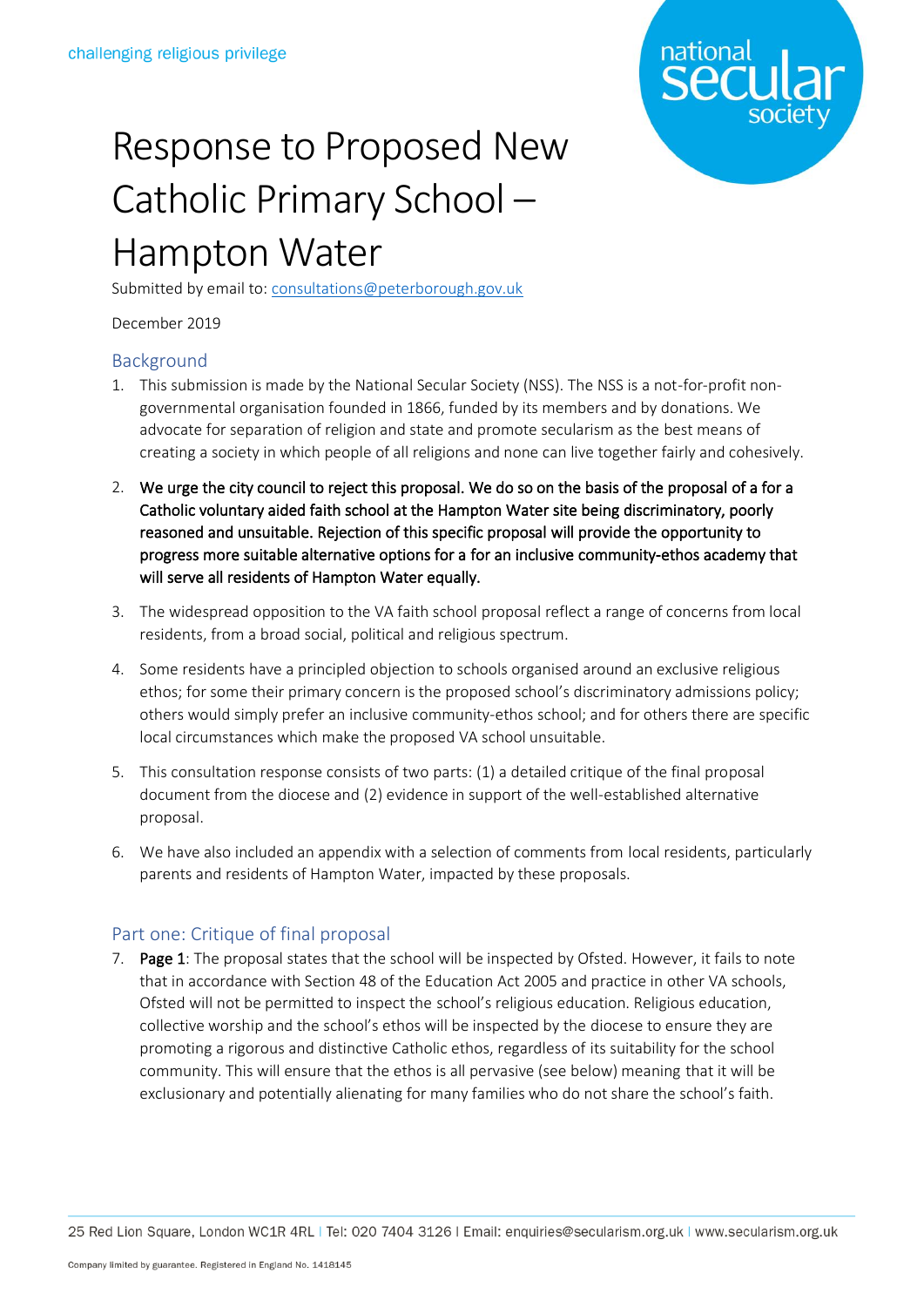

## Response to Proposed New Catholic Primary School – Hampton Water

Submitted by email to: [consultations@peterborough.gov.uk](mailto:consultations@peterborough.gov.uk)

December 2019

## Background

- 1. This submission is made by the National Secular Society (NSS). The NSS is a not-for-profit nongovernmental organisation founded in 1866, funded by its members and by donations. We advocate for separation of religion and state and promote secularism as the best means of creating a society in which people of all religions and none can live together fairly and cohesively.
- 2. We urge the city council to reject this proposal. We do so on the basis of the proposal of a for a Catholic voluntary aided faith school at the Hampton Water site being discriminatory, poorly reasoned and unsuitable. Rejection of this specific proposal will provide the opportunity to progress more suitable alternative options for a for an inclusive community-ethos academy that will serve all residents of Hampton Water equally.
- 3. The widespread opposition to the VA faith school proposal reflect a range of concerns from local residents, from a broad social, political and religious spectrum.
- 4. Some residents have a principled objection to schools organised around an exclusive religious ethos; for some their primary concern is the proposed school's discriminatory admissions policy; others would simply prefer an inclusive community-ethos school; and for others there are specific local circumstances which make the proposed VA school unsuitable.
- 5. This consultation response consists of two parts: (1) a detailed critique of the final proposal document from the diocese and (2) evidence in support of the well-established alternative proposal.
- 6. We have also included an appendix with a selection of comments from local residents, particularly parents and residents of Hampton Water, impacted by these proposals.

## Part one: Critique of final proposal

7. Page 1: The proposal states that the school will be inspected by Ofsted. However, it fails to note that in accordance with Section 48 of the Education Act 2005 and practice in other VA schools, Ofsted will not be permitted to inspect the school's religious education. Religious education, collective worship and the school's ethos will be inspected by the diocese to ensure they are promoting a rigorous and distinctive Catholic ethos, regardless of its suitability for the school community. This will ensure that the ethos is all pervasive (see below) meaning that it will be exclusionary and potentially alienating for many families who do not share the school's faith.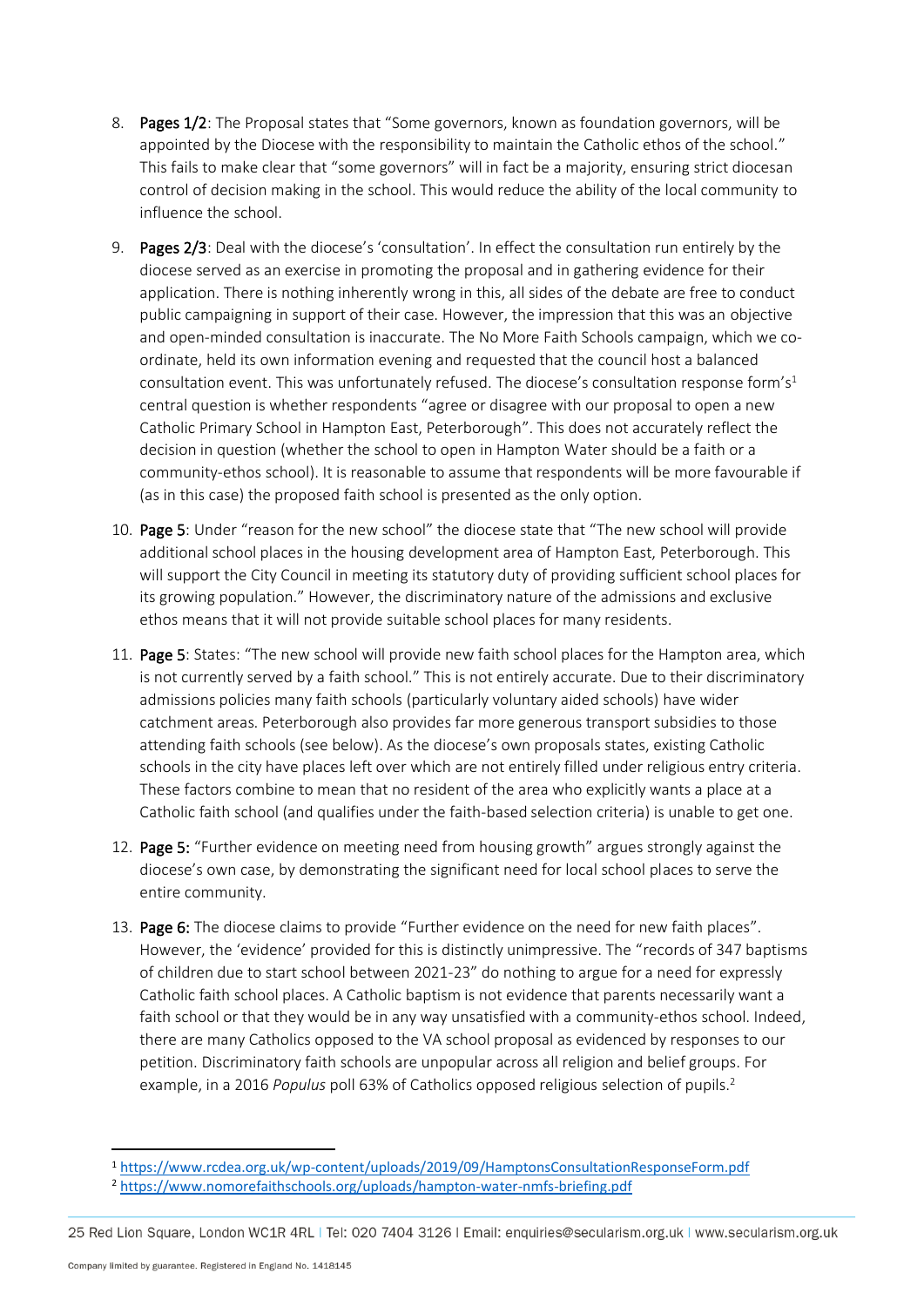- 8. Pages 1/2: The Proposal states that "Some governors, known as foundation governors, will be appointed by the Diocese with the responsibility to maintain the Catholic ethos of the school." This fails to make clear that "some governors" will in fact be a majority, ensuring strict diocesan control of decision making in the school. This would reduce the ability of the local community to influence the school.
- 9. Pages 2/3: Deal with the diocese's 'consultation'. In effect the consultation run entirely by the diocese served as an exercise in promoting the proposal and in gathering evidence for their application. There is nothing inherently wrong in this, all sides of the debate are free to conduct public campaigning in support of their case. However, the impression that this was an objective and open-minded consultation is inaccurate. The No More Faith Schools campaign, which we coordinate, held its own information evening and requested that the council host a balanced consultation event. This was unfortunately refused. The diocese's consultation response form's<sup>1</sup> central question is whether respondents "agree or disagree with our proposal to open a new Catholic Primary School in Hampton East, Peterborough". This does not accurately reflect the decision in question (whether the school to open in Hampton Water should be a faith or a community-ethos school). It is reasonable to assume that respondents will be more favourable if (as in this case) the proposed faith school is presented as the only option.
- 10. Page 5: Under "reason for the new school" the diocese state that "The new school will provide additional school places in the housing development area of Hampton East, Peterborough. This will support the City Council in meeting its statutory duty of providing sufficient school places for its growing population." However, the discriminatory nature of the admissions and exclusive ethos means that it will not provide suitable school places for many residents.
- 11. Page 5: States: "The new school will provide new faith school places for the Hampton area, which is not currently served by a faith school." This is not entirely accurate. Due to their discriminatory admissions policies many faith schools (particularly voluntary aided schools) have wider catchment areas. Peterborough also provides far more generous transport subsidies to those attending faith schools (see below). As the diocese's own proposals states, existing Catholic schools in the city have places left over which are not entirely filled under religious entry criteria. These factors combine to mean that no resident of the area who explicitly wants a place at a Catholic faith school (and qualifies under the faith-based selection criteria) is unable to get one.
- 12. Page 5: "Further evidence on meeting need from housing growth" argues strongly against the diocese's own case, by demonstrating the significant need for local school places to serve the entire community.
- 13. Page 6: The diocese claims to provide "Further evidence on the need for new faith places". However, the 'evidence' provided for this is distinctly unimpressive. The "records of 347 baptisms of children due to start school between 2021-23" do nothing to argue for a need for expressly Catholic faith school places. A Catholic baptism is not evidence that parents necessarily want a faith school or that they would be in any way unsatisfied with a community-ethos school. Indeed, there are many Catholics opposed to the VA school proposal as evidenced by responses to our petition. Discriminatory faith schools are unpopular across all religion and belief groups. For example, in a 2016 *Populus* poll 63% of Catholics opposed religious selection of pupils.<sup>2</sup>

<sup>1</sup> <https://www.rcdea.org.uk/wp-content/uploads/2019/09/HamptonsConsultationResponseForm.pdf>

<sup>2</sup> <https://www.nomorefaithschools.org/uploads/hampton-water-nmfs-briefing.pdf>

<sup>25</sup> Red Lion Square, London WC1R 4RL | Tel: 020 7404 3126 | Email: enquiries@secularism.org.uk | www.secularism.org.uk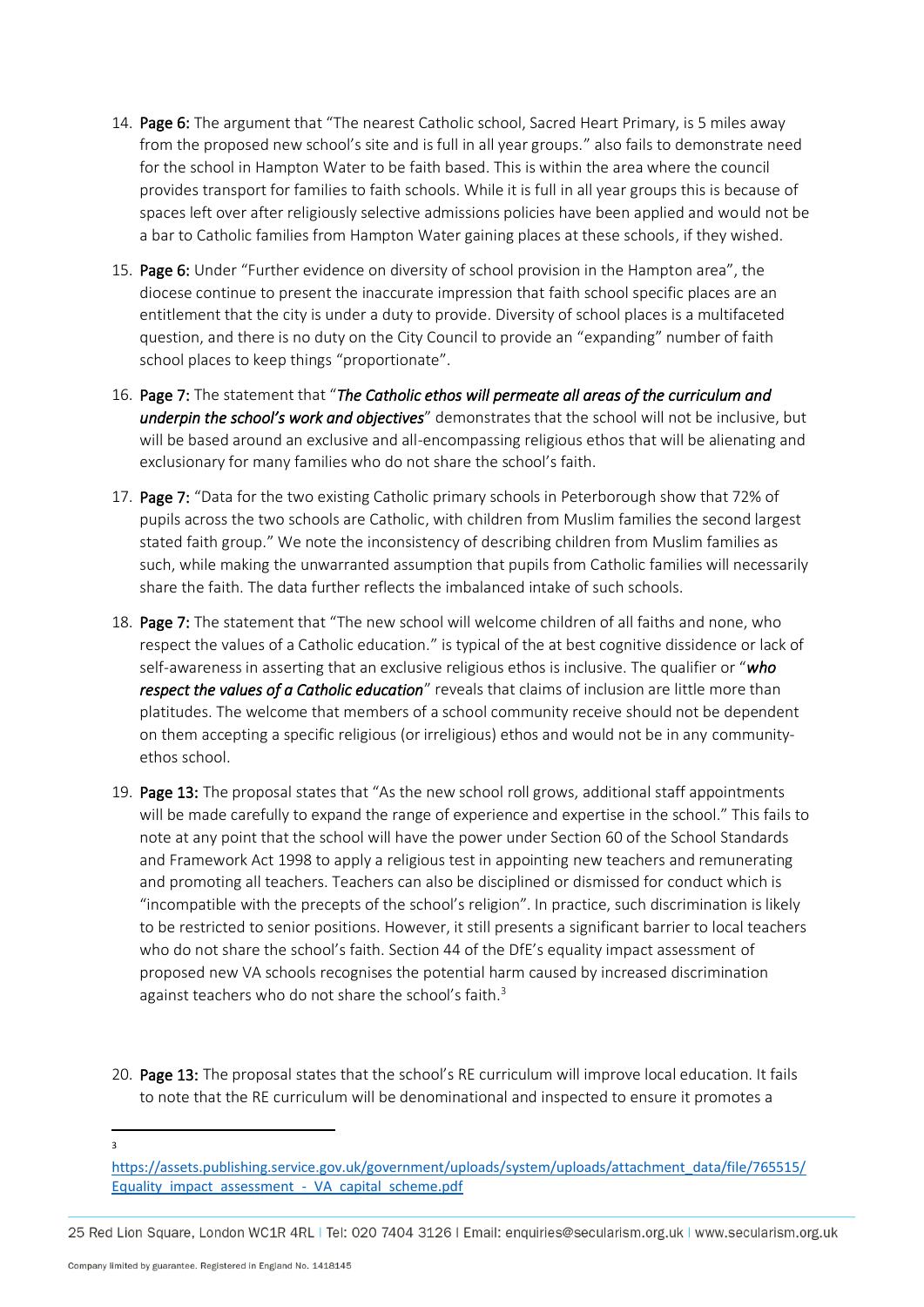- 14. Page 6: The argument that "The nearest Catholic school, Sacred Heart Primary, is 5 miles away from the proposed new school's site and is full in all year groups." also fails to demonstrate need for the school in Hampton Water to be faith based. This is within the area where the council provides transport for families to faith schools. While it is full in all year groups this is because of spaces left over after religiously selective admissions policies have been applied and would not be a bar to Catholic families from Hampton Water gaining places at these schools, if they wished.
- 15. Page 6: Under "Further evidence on diversity of school provision in the Hampton area", the diocese continue to present the inaccurate impression that faith school specific places are an entitlement that the city is under a duty to provide. Diversity of school places is a multifaceted question, and there is no duty on the City Council to provide an "expanding" number of faith school places to keep things "proportionate".
- 16. Page 7: The statement that "*The Catholic ethos will permeate all areas of the curriculum and underpin the school's work and objectives*" demonstrates that the school will not be inclusive, but will be based around an exclusive and all-encompassing religious ethos that will be alienating and exclusionary for many families who do not share the school's faith.
- 17. Page 7: "Data for the two existing Catholic primary schools in Peterborough show that 72% of pupils across the two schools are Catholic, with children from Muslim families the second largest stated faith group." We note the inconsistency of describing children from Muslim families as such, while making the unwarranted assumption that pupils from Catholic families will necessarily share the faith. The data further reflects the imbalanced intake of such schools.
- 18. Page 7: The statement that "The new school will welcome children of all faiths and none, who respect the values of a Catholic education." is typical of the at best cognitive dissidence or lack of self-awareness in asserting that an exclusive religious ethos is inclusive. The qualifier or "*who respect the values of a Catholic education*" reveals that claims of inclusion are little more than platitudes. The welcome that members of a school community receive should not be dependent on them accepting a specific religious (or irreligious) ethos and would not be in any communityethos school.
- 19. Page 13: The proposal states that "As the new school roll grows, additional staff appointments will be made carefully to expand the range of experience and expertise in the school." This fails to note at any point that the school will have the power under Section 60 of the School Standards and Framework Act 1998 to apply a religious test in appointing new teachers and remunerating and promoting all teachers. Teachers can also be disciplined or dismissed for conduct which is "incompatible with the precepts of the school's religion". In practice, such discrimination is likely to be restricted to senior positions. However, it still presents a significant barrier to local teachers who do not share the school's faith. Section 44 of the DfE's equality impact assessment of proposed new VA schools recognises the potential harm caused by increased discrimination against teachers who do not share the school's faith.<sup>3</sup>
- 20. Page 13: The proposal states that the school's RE curriculum will improve local education. It fails to note that the RE curriculum will be denominational and inspected to ensure it promotes a

 $\overline{a}$ 

[https://assets.publishing.service.gov.uk/government/uploads/system/uploads/attachment\\_data/file/765515/](https://assets.publishing.service.gov.uk/government/uploads/system/uploads/attachment_data/file/765515/Equality_impact_assessment_-_VA_capital_scheme.pdf) Equality\_impact\_assessment - VA\_capital\_scheme.pdf

<sup>25</sup> Red Lion Square, London WC1R 4RL | Tel: 020 7404 3126 | Email: enquiries@secularism.org.uk | www.secularism.org.uk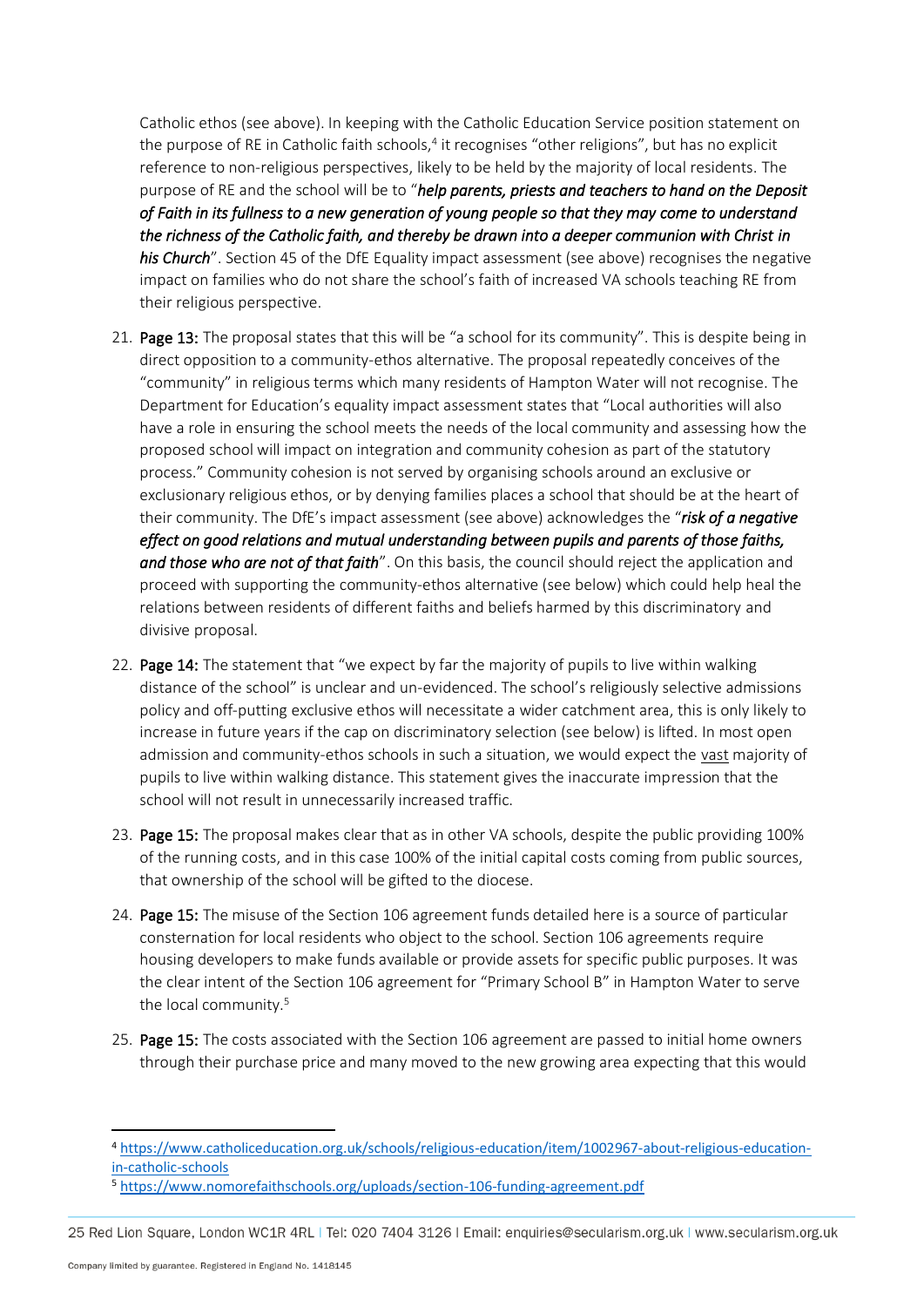Catholic ethos (see above). In keeping with the Catholic Education Service position statement on the purpose of RE in Catholic faith schools,<sup>4</sup> it recognises "other religions", but has no explicit reference to non-religious perspectives, likely to be held by the majority of local residents. The purpose of RE and the school will be to "*help parents, priests and teachers to hand on the Deposit of Faith in its fullness to a new generation of young people so that they may come to understand the richness of the Catholic faith, and thereby be drawn into a deeper communion with Christ in his Church*". Section 45 of the DfE Equality impact assessment (see above) recognises the negative impact on families who do not share the school's faith of increased VA schools teaching RE from their religious perspective.

- 21. Page 13: The proposal states that this will be "a school for its community". This is despite being in direct opposition to a community-ethos alternative. The proposal repeatedly conceives of the "community" in religious terms which many residents of Hampton Water will not recognise. The Department for Education's equality impact assessment states that "Local authorities will also have a role in ensuring the school meets the needs of the local community and assessing how the proposed school will impact on integration and community cohesion as part of the statutory process." Community cohesion is not served by organising schools around an exclusive or exclusionary religious ethos, or by denying families places a school that should be at the heart of their community. The DfE's impact assessment (see above) acknowledges the "*risk of a negative effect on good relations and mutual understanding between pupils and parents of those faiths, and those who are not of that faith*". On this basis, the council should reject the application and proceed with supporting the community-ethos alternative (see below) which could help heal the relations between residents of different faiths and beliefs harmed by this discriminatory and divisive proposal.
- 22. Page 14: The statement that "we expect by far the majority of pupils to live within walking distance of the school" is unclear and un-evidenced. The school's religiously selective admissions policy and off-putting exclusive ethos will necessitate a wider catchment area, this is only likely to increase in future years if the cap on discriminatory selection (see below) is lifted. In most open admission and community-ethos schools in such a situation, we would expect the vast majority of pupils to live within walking distance. This statement gives the inaccurate impression that the school will not result in unnecessarily increased traffic.
- 23. Page 15: The proposal makes clear that as in other VA schools, despite the public providing 100% of the running costs, and in this case 100% of the initial capital costs coming from public sources, that ownership of the school will be gifted to the diocese.
- 24. Page 15: The misuse of the Section 106 agreement funds detailed here is a source of particular consternation for local residents who object to the school. Section 106 agreements require housing developers to make funds available or provide assets for specific public purposes. It was the clear intent of the Section 106 agreement for "Primary School B" in Hampton Water to serve the local community.<sup>5</sup>
- 25. Page 15: The costs associated with the Section 106 agreement are passed to initial home owners through their purchase price and many moved to the new growing area expecting that this would

<sup>4</sup> [https://www.catholiceducation.org.uk/schools/religious-education/item/1002967-about-religious-education](https://www.catholiceducation.org.uk/schools/religious-education/item/1002967-about-religious-education-in-catholic-schools)[in-catholic-schools](https://www.catholiceducation.org.uk/schools/religious-education/item/1002967-about-religious-education-in-catholic-schools)

<sup>5</sup> <https://www.nomorefaithschools.org/uploads/section-106-funding-agreement.pdf>

<sup>25</sup> Red Lion Square, London WC1R 4RL | Tel: 020 7404 3126 | Email: enquiries@secularism.org.uk | www.secularism.org.uk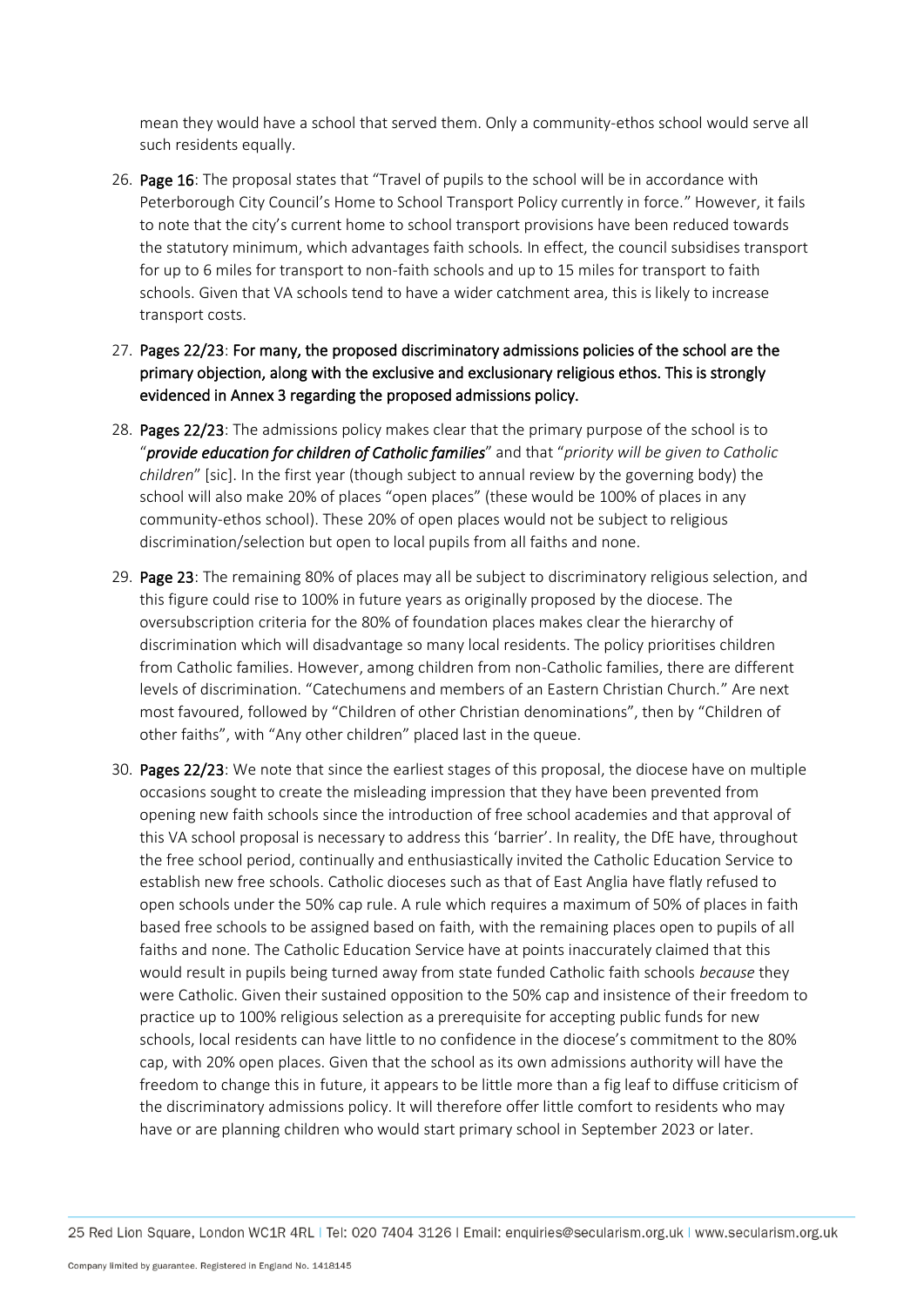mean they would have a school that served them. Only a community-ethos school would serve all such residents equally.

- 26. Page 16: The proposal states that "Travel of pupils to the school will be in accordance with Peterborough City Council's Home to School Transport Policy currently in force." However, it fails to note that the city's current home to school transport provisions have been reduced towards the statutory minimum, which advantages faith schools. In effect, the council subsidises transport for up to 6 miles for transport to non-faith schools and up to 15 miles for transport to faith schools. Given that VA schools tend to have a wider catchment area, this is likely to increase transport costs.
- 27. Pages 22/23: For many, the proposed discriminatory admissions policies of the school are the primary objection, along with the exclusive and exclusionary religious ethos. This is strongly evidenced in Annex 3 regarding the proposed admissions policy.
- 28. Pages 22/23: The admissions policy makes clear that the primary purpose of the school is to "*provide education for children of Catholic families*" and that "*priority will be given to Catholic children*" [sic]. In the first year (though subject to annual review by the governing body) the school will also make 20% of places "open places" (these would be 100% of places in any community-ethos school). These 20% of open places would not be subject to religious discrimination/selection but open to local pupils from all faiths and none.
- 29. Page 23: The remaining 80% of places may all be subject to discriminatory religious selection, and this figure could rise to 100% in future years as originally proposed by the diocese. The oversubscription criteria for the 80% of foundation places makes clear the hierarchy of discrimination which will disadvantage so many local residents. The policy prioritises children from Catholic families. However, among children from non-Catholic families, there are different levels of discrimination. "Catechumens and members of an Eastern Christian Church." Are next most favoured, followed by "Children of other Christian denominations", then by "Children of other faiths", with "Any other children" placed last in the queue.
- 30. Pages 22/23: We note that since the earliest stages of this proposal, the diocese have on multiple occasions sought to create the misleading impression that they have been prevented from opening new faith schools since the introduction of free school academies and that approval of this VA school proposal is necessary to address this 'barrier'. In reality, the DfE have, throughout the free school period, continually and enthusiastically invited the Catholic Education Service to establish new free schools. Catholic dioceses such as that of East Anglia have flatly refused to open schools under the 50% cap rule. A rule which requires a maximum of 50% of places in faith based free schools to be assigned based on faith, with the remaining places open to pupils of all faiths and none. The Catholic Education Service have at points inaccurately claimed that this would result in pupils being turned away from state funded Catholic faith schools *because* they were Catholic. Given their sustained opposition to the 50% cap and insistence of their freedom to practice up to 100% religious selection as a prerequisite for accepting public funds for new schools, local residents can have little to no confidence in the diocese's commitment to the 80% cap, with 20% open places. Given that the school as its own admissions authority will have the freedom to change this in future, it appears to be little more than a fig leaf to diffuse criticism of the discriminatory admissions policy. It will therefore offer little comfort to residents who may have or are planning children who would start primary school in September 2023 or later.

25 Red Lion Square, London WC1R 4RL | Tel: 020 7404 3126 | Email: enquiries@secularism.org.uk | www.secularism.org.uk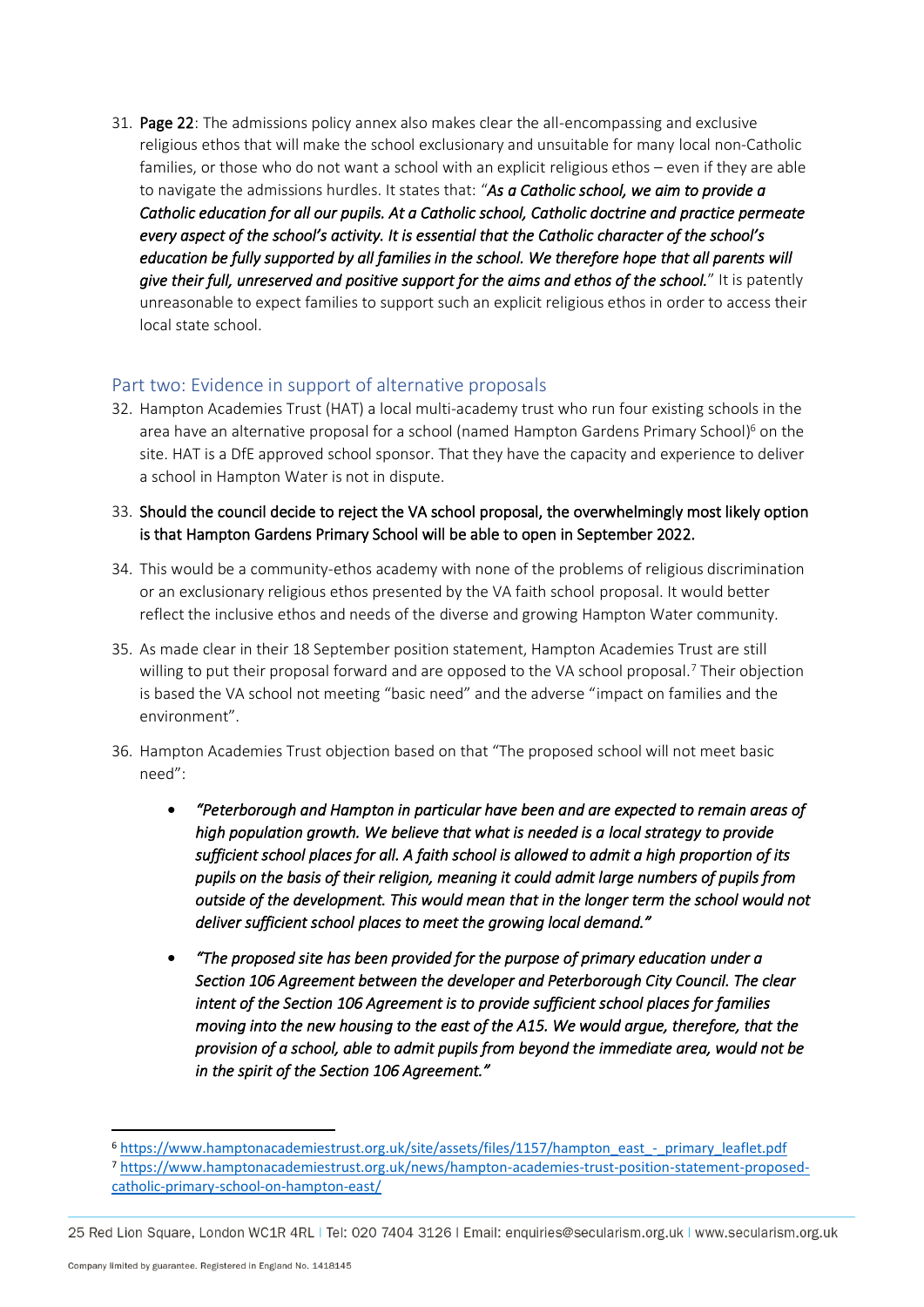31. Page 22: The admissions policy annex also makes clear the all-encompassing and exclusive religious ethos that will make the school exclusionary and unsuitable for many local non-Catholic families, or those who do not want a school with an explicit religious ethos – even if they are able to navigate the admissions hurdles. It states that: "*As a Catholic school, we aim to provide a Catholic education for all our pupils. At a Catholic school, Catholic doctrine and practice permeate every aspect of the school's activity. It is essential that the Catholic character of the school's education be fully supported by all families in the school. We therefore hope that all parents will give their full, unreserved and positive support for the aims and ethos of the school.*" It is patently unreasonable to expect families to support such an explicit religious ethos in order to access their local state school.

## Part two: Evidence in support of alternative proposals

- 32. Hampton Academies Trust (HAT) a local multi-academy trust who run four existing schools in the area have an alternative proposal for a school (named Hampton Gardens Primary School)<sup>6</sup> on the site. HAT is a DfE approved school sponsor. That they have the capacity and experience to deliver a school in Hampton Water is not in dispute.
- 33. Should the council decide to reject the VA school proposal, the overwhelmingly most likely option is that Hampton Gardens Primary School will be able to open in September 2022.
- 34. This would be a community-ethos academy with none of the problems of religious discrimination or an exclusionary religious ethos presented by the VA faith school proposal. It would better reflect the inclusive ethos and needs of the diverse and growing Hampton Water community.
- 35. As made clear in their 18 September position statement, Hampton Academies Trust are still willing to put their proposal forward and are opposed to the VA school proposal.<sup>7</sup> Their objection is based the VA school not meeting "basic need" and the adverse "impact on families and the environment".
- 36. Hampton Academies Trust objection based on that "The proposed school will not meet basic need":
	- *"Peterborough and Hampton in particular have been and are expected to remain areas of high population growth. We believe that what is needed is a local strategy to provide sufficient school places for all. A faith school is allowed to admit a high proportion of its pupils on the basis of their religion, meaning it could admit large numbers of pupils from outside of the development. This would mean that in the longer term the school would not deliver sufficient school places to meet the growing local demand."*
	- *"The proposed site has been provided for the purpose of primary education under a Section 106 Agreement between the developer and Peterborough City Council. The clear intent of the Section 106 Agreement is to provide sufficient school places for families moving into the new housing to the east of the A15. We would argue, therefore, that the provision of a school, able to admit pupils from beyond the immediate area, would not be in the spirit of the Section 106 Agreement."*

<sup>6</sup> [https://www.hamptonacademiestrust.org.uk/site/assets/files/1157/hampton\\_east\\_-\\_primary\\_leaflet.pdf](https://www.hamptonacademiestrust.org.uk/site/assets/files/1157/hampton_east_-_primary_leaflet.pdf) <sup>7</sup> [https://www.hamptonacademiestrust.org.uk/news/hampton-academies-trust-position-statement-proposed](https://www.hamptonacademiestrust.org.uk/news/hampton-academies-trust-position-statement-proposed-catholic-primary-school-on-hampton-east/)[catholic-primary-school-on-hampton-east/](https://www.hamptonacademiestrust.org.uk/news/hampton-academies-trust-position-statement-proposed-catholic-primary-school-on-hampton-east/)

<sup>25</sup> Red Lion Square, London WC1R 4RL | Tel: 020 7404 3126 | Email: enquiries@secularism.org.uk | www.secularism.org.uk